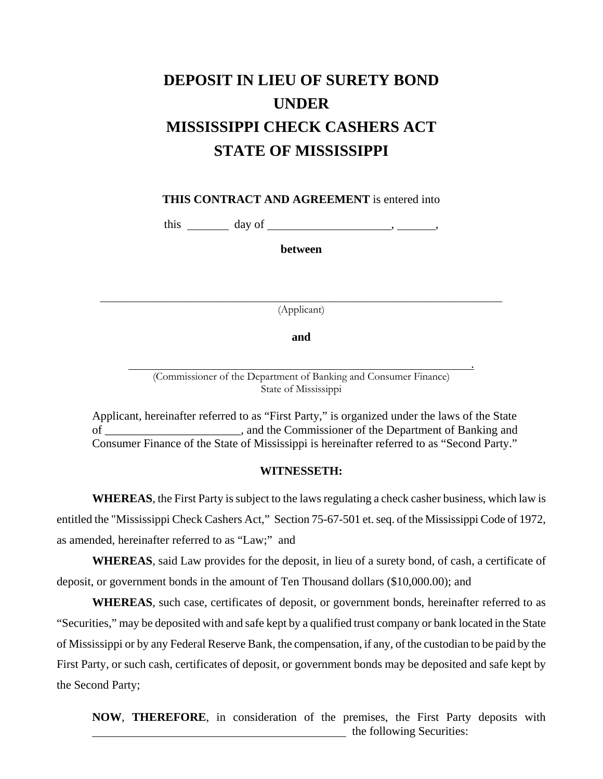## **DEPOSIT IN LIEU OF SURETY BOND UNDER MISSISSIPPI CHECK CASHERS ACT STATE OF MISSISSIPPI**

**THIS CONTRACT AND AGREEMENT** is entered into

this  $\_\_\_\_\_\$  day of  $\_\_\_\_\_\_\$ 

**between**

(Applicant)

 $\frac{1}{\sqrt{2}}$  ,  $\frac{1}{\sqrt{2}}$  ,  $\frac{1}{\sqrt{2}}$  ,  $\frac{1}{\sqrt{2}}$  ,  $\frac{1}{\sqrt{2}}$  ,  $\frac{1}{\sqrt{2}}$  ,  $\frac{1}{\sqrt{2}}$  ,  $\frac{1}{\sqrt{2}}$  ,  $\frac{1}{\sqrt{2}}$  ,  $\frac{1}{\sqrt{2}}$  ,  $\frac{1}{\sqrt{2}}$  ,  $\frac{1}{\sqrt{2}}$  ,  $\frac{1}{\sqrt{2}}$  ,  $\frac{1}{\sqrt{2}}$  ,  $\frac{1}{\sqrt{2}}$ 

**and**

 . (Commissioner of the Department of Banking and Consumer Finance) State of Mississippi

 Applicant, hereinafter referred to as "First Party," is organized under the laws of the State of \_\_\_\_\_\_\_\_\_\_\_\_\_\_\_\_\_\_\_\_\_\_\_, and the Commissioner of the Department of Banking and Consumer Finance of the State of Mississippi is hereinafter referred to as "Second Party."

## **WITNESSETH:**

**WHEREAS**, the First Party is subject to the laws regulating a check casher business, which law is entitled the "Mississippi Check Cashers Act," Section 75-67-501 et. seq. of the Mississippi Code of 1972, as amended, hereinafter referred to as "Law;" and

**WHEREAS**, said Law provides for the deposit, in lieu of a surety bond, of cash, a certificate of deposit, or government bonds in the amount of Ten Thousand dollars (\$10,000.00); and

**WHEREAS**, such case, certificates of deposit, or government bonds, hereinafter referred to as "Securities," may be deposited with and safe kept by a qualified trust company or bank located in the State of Mississippi or by any Federal Reserve Bank, the compensation, if any, of the custodian to be paid by the First Party, or such cash, certificates of deposit, or government bonds may be deposited and safe kept by the Second Party;

**NOW**, **THEREFORE**, in consideration of the premises, the First Party deposits with **the following Securities:**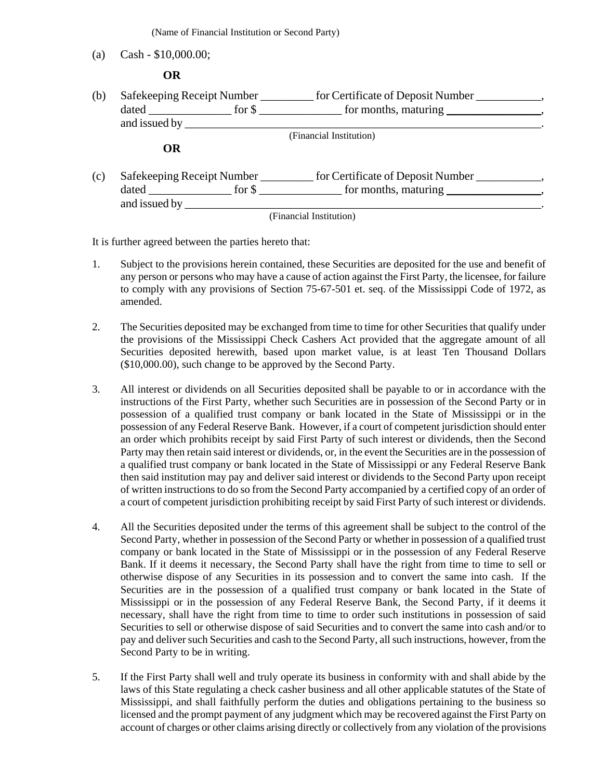(Name of Financial Institution or Second Party)

(a) Cash - \$10,000.00;

 **OR**

| (b) |                       | Safekeeping Receipt Number ____________ for Certificate of Deposit Number _______                                                                                                                                                   |
|-----|-----------------------|-------------------------------------------------------------------------------------------------------------------------------------------------------------------------------------------------------------------------------------|
|     |                       |                                                                                                                                                                                                                                     |
|     |                       |                                                                                                                                                                                                                                     |
|     |                       | (Financial Institution)                                                                                                                                                                                                             |
|     | <b>OR</b>             |                                                                                                                                                                                                                                     |
| (c) |                       | Safekeeping Receipt Number ______________ for Certificate of Deposit Number ____________                                                                                                                                            |
|     |                       | dated for \$ for months, maturing , the same stated stated for \$ for months, maturing , the state of $\frac{1}{2}$ stated stated stated stated stated stated stated stated stated stated stated stated stated stated stated stated |
|     | and issued by _______ |                                                                                                                                                                                                                                     |
|     |                       | (Financial Institution)                                                                                                                                                                                                             |

It is further agreed between the parties hereto that:

- 1. Subject to the provisions herein contained, these Securities are deposited for the use and benefit of any person or persons who may have a cause of action against the First Party, the licensee, for failure to comply with any provisions of Section 75-67-501 et. seq. of the Mississippi Code of 1972, as amended.
- 2. The Securities deposited may be exchanged from time to time for other Securities that qualify under the provisions of the Mississippi Check Cashers Act provided that the aggregate amount of all Securities deposited herewith, based upon market value, is at least Ten Thousand Dollars (\$10,000.00), such change to be approved by the Second Party.
- 3. All interest or dividends on all Securities deposited shall be payable to or in accordance with the instructions of the First Party, whether such Securities are in possession of the Second Party or in possession of a qualified trust company or bank located in the State of Mississippi or in the possession of any Federal Reserve Bank. However, if a court of competent jurisdiction should enter an order which prohibits receipt by said First Party of such interest or dividends, then the Second Party may then retain said interest or dividends, or, in the event the Securities are in the possession of a qualified trust company or bank located in the State of Mississippi or any Federal Reserve Bank then said institution may pay and deliver said interest or dividends to the Second Party upon receipt of written instructions to do so from the Second Party accompanied by a certified copy of an order of a court of competent jurisdiction prohibiting receipt by said First Party of such interest or dividends.
- 4. All the Securities deposited under the terms of this agreement shall be subject to the control of the Second Party, whether in possession of the Second Party or whether in possession of a qualified trust company or bank located in the State of Mississippi or in the possession of any Federal Reserve Bank. If it deems it necessary, the Second Party shall have the right from time to time to sell or otherwise dispose of any Securities in its possession and to convert the same into cash. If the Securities are in the possession of a qualified trust company or bank located in the State of Mississippi or in the possession of any Federal Reserve Bank, the Second Party, if it deems it necessary, shall have the right from time to time to order such institutions in possession of said Securities to sell or otherwise dispose of said Securities and to convert the same into cash and/or to pay and deliver such Securities and cash to the Second Party, all such instructions, however, from the Second Party to be in writing.
- 5. If the First Party shall well and truly operate its business in conformity with and shall abide by the laws of this State regulating a check casher business and all other applicable statutes of the State of Mississippi, and shall faithfully perform the duties and obligations pertaining to the business so licensed and the prompt payment of any judgment which may be recovered against the First Party on account of charges or other claims arising directly or collectively from any violation of the provisions